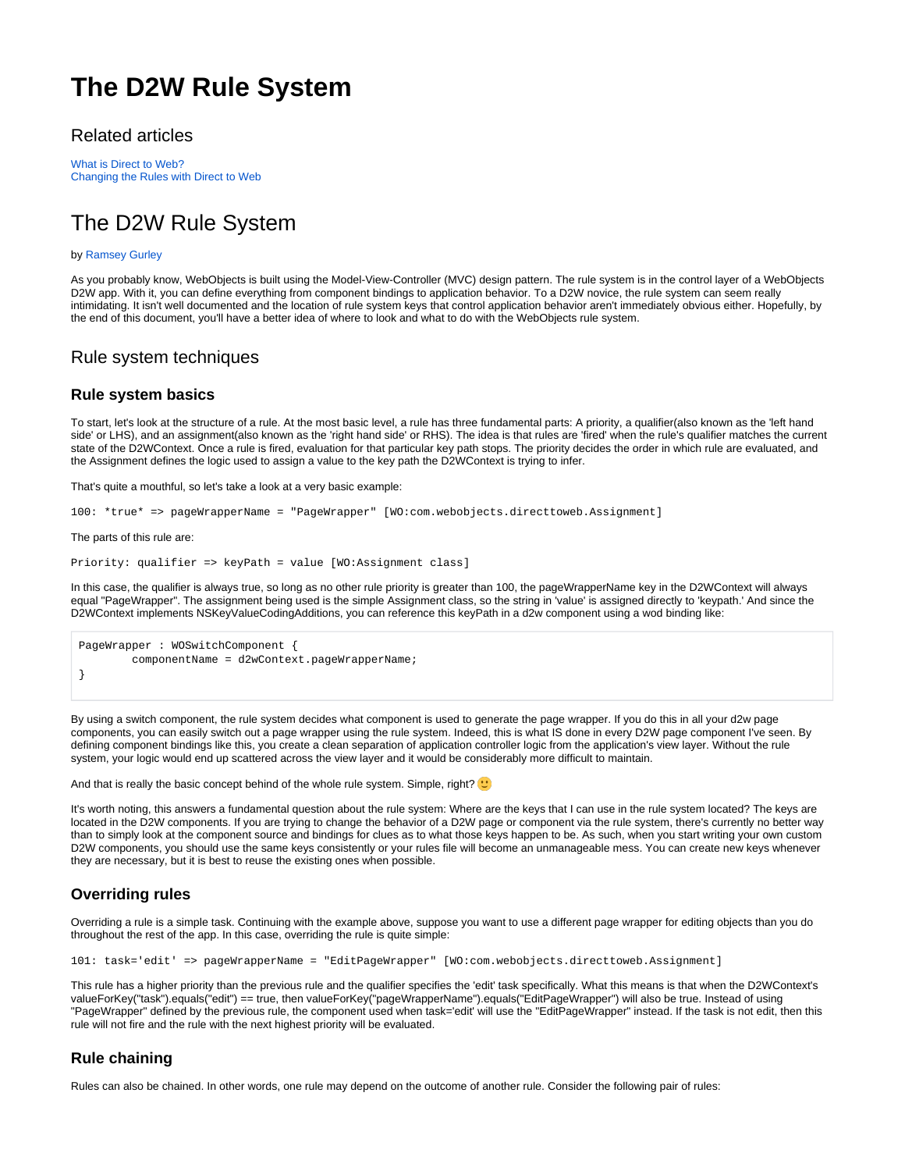# **The D2W Rule System**

# Related articles

[What is Direct to Web?](https://wiki.wocommunity.org/pages/viewpage.action?pageId=1049018) [Changing the Rules with Direct to Web](https://wiki.wocommunity.org/display/documentation/Changing+the+Rules+with+Direct+to+Web)

# The D2W Rule System

#### by [Ramsey Gurley](https://wiki.wocommunity.org/display/~ramsey)

As you probably know, WebObjects is built using the Model-View-Controller (MVC) design pattern. The rule system is in the control layer of a WebObjects D2W app. With it, you can define everything from component bindings to application behavior. To a D2W novice, the rule system can seem really intimidating. It isn't well documented and the location of rule system keys that control application behavior aren't immediately obvious either. Hopefully, by the end of this document, you'll have a better idea of where to look and what to do with the WebObjects rule system.

## Rule system techniques

## **Rule system basics**

To start, let's look at the structure of a rule. At the most basic level, a rule has three fundamental parts: A priority, a qualifier(also known as the 'left hand side' or LHS), and an assignment(also known as the 'right hand side' or RHS). The idea is that rules are 'fired' when the rule's qualifier matches the current state of the D2WContext. Once a rule is fired, evaluation for that particular key path stops. The priority decides the order in which rule are evaluated, and the Assignment defines the logic used to assign a value to the key path the D2WContext is trying to infer.

That's quite a mouthful, so let's take a look at a very basic example:

100: \*true\* => pageWrapperName = "PageWrapper" [WO:com.webobjects.directtoweb.Assignment]

The parts of this rule are:

```
Priority: qualifier => keyPath = value [WO:Assignment class]
```
In this case, the qualifier is always true, so long as no other rule priority is greater than 100, the pageWrapperName key in the D2WContext will always equal "PageWrapper". The assignment being used is the simple Assignment class, so the string in 'value' is assigned directly to 'keypath.' And since the D2WContext implements NSKeyValueCodingAdditions, you can reference this keyPath in a d2w component using a wod binding like:

```
PageWrapper : WOSwitchComponent {
         componentName = d2wContext.pageWrapperName;
}
```
By using a switch component, the rule system decides what component is used to generate the page wrapper. If you do this in all your d2w page components, you can easily switch out a page wrapper using the rule system. Indeed, this is what IS done in every D2W page component I've seen. By defining component bindings like this, you create a clean separation of application controller logic from the application's view layer. Without the rule system, your logic would end up scattered across the view layer and it would be considerably more difficult to maintain.

And that is really the basic concept behind of the whole rule system. Simple, right?  $\bigcup$ 

It's worth noting, this answers a fundamental question about the rule system: Where are the keys that I can use in the rule system located? The keys are located in the D2W components. If you are trying to change the behavior of a D2W page or component via the rule system, there's currently no better way than to simply look at the component source and bindings for clues as to what those keys happen to be. As such, when you start writing your own custom D2W components, you should use the same keys consistently or your rules file will become an unmanageable mess. You can create new keys whenever they are necessary, but it is best to reuse the existing ones when possible.

## **Overriding rules**

Overriding a rule is a simple task. Continuing with the example above, suppose you want to use a different page wrapper for editing objects than you do throughout the rest of the app. In this case, overriding the rule is quite simple:

101: task='edit' => pageWrapperName = "EditPageWrapper" [WO:com.webobjects.directtoweb.Assignment]

This rule has a higher priority than the previous rule and the qualifier specifies the 'edit' task specifically. What this means is that when the D2WContext's valueForKey("task").equals("edit") == true, then valueForKey("pageWrapperName").equals("EditPageWrapper") will also be true. Instead of using "PageWrapper" defined by the previous rule, the component used when task='edit' will use the "EditPageWrapper" instead. If the task is not edit, then this rule will not fire and the rule with the next highest priority will be evaluated.

# **Rule chaining**

Rules can also be chained. In other words, one rule may depend on the outcome of another rule. Consider the following pair of rules: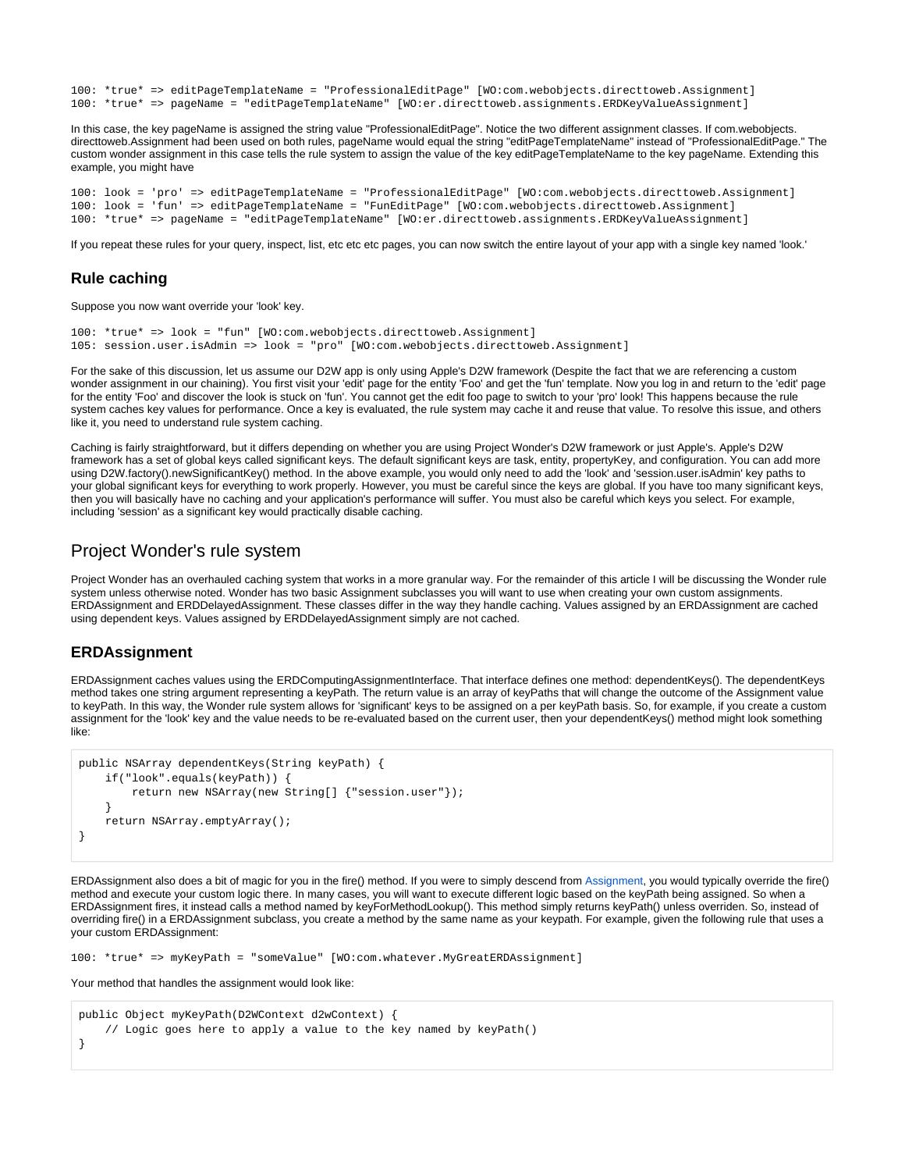100: \*true\* => editPageTemplateName = "ProfessionalEditPage" [WO:com.webobjects.directtoweb.Assignment] 100: \*true\* => pageName = "editPageTemplateName" [WO:er.directtoweb.assignments.ERDKeyValueAssignment]

In this case, the key pageName is assigned the string value "ProfessionalEditPage". Notice the two different assignment classes. If com.webobjects. directtoweb.Assignment had been used on both rules, pageName would equal the string "editPageTemplateName" instead of "ProfessionalEditPage." The custom wonder assignment in this case tells the rule system to assign the value of the key editPageTemplateName to the key pageName. Extending this example, you might have

```
100: look = 'pro' => editPageTemplateName = "ProfessionalEditPage" [WO:com.webobjects.directtoweb.Assignment]
100: look = 'fun' => editPageTemplateName = "FunEditPage" [WO:com.webobjects.directtoweb.Assignment]
100: *true* => pageName = "editPageTemplateName" [WO:er.directtoweb.assignments.ERDKeyValueAssignment]
```
If you repeat these rules for your query, inspect, list, etc etc pages, you can now switch the entire layout of your app with a single key named 'look.'

#### **Rule caching**

Suppose you now want override your 'look' key.

```
100: *true* => look = "fun" [WO:com.webobjects.directtoweb.Assignment]
105: session.user.isAdmin => look = "pro" [WO:com.webobjects.directtoweb.Assignment]
```
For the sake of this discussion, let us assume our D2W app is only using Apple's D2W framework (Despite the fact that we are referencing a custom wonder assignment in our chaining). You first visit your 'edit' page for the entity 'Foo' and get the 'fun' template. Now you log in and return to the 'edit' page for the entity 'Foo' and discover the look is stuck on 'fun'. You cannot get the edit foo page to switch to your 'pro' look! This happens because the rule system caches key values for performance. Once a key is evaluated, the rule system may cache it and reuse that value. To resolve this issue, and others like it, you need to understand rule system caching.

Caching is fairly straightforward, but it differs depending on whether you are using Project Wonder's D2W framework or just Apple's. Apple's D2W framework has a set of global keys called significant keys. The default significant keys are task, entity, propertyKey, and configuration. You can add more using D2W.factory().newSignificantKey() method. In the above example, you would only need to add the 'look' and 'session.user.isAdmin' key paths to your global significant keys for everything to work properly. However, you must be careful since the keys are global. If you have too many significant keys, then you will basically have no caching and your application's performance will suffer. You must also be careful which keys you select. For example, including 'session' as a significant key would practically disable caching.

## Project Wonder's rule system

Project Wonder has an overhauled caching system that works in a more granular way. For the remainder of this article I will be discussing the Wonder rule system unless otherwise noted. Wonder has two basic Assignment subclasses you will want to use when creating your own custom assignments. ERDAssignment and ERDDelayedAssignment. These classes differ in the way they handle caching. Values assigned by an ERDAssignment are cached using dependent keys. Values assigned by ERDDelayedAssignment simply are not cached.

#### **ERDAssignment**

ERDAssignment caches values using the ERDComputingAssignmentInterface. That interface defines one method: dependentKeys(). The dependentKeys method takes one string argument representing a keyPath. The return value is an array of keyPaths that will change the outcome of the Assignment value to keyPath. In this way, the Wonder rule system allows for 'significant' keys to be assigned on a per keyPath basis. So, for example, if you create a custom assignment for the 'look' key and the value needs to be re-evaluated based on the current user, then your dependentKeys() method might look something like:

```
public NSArray dependentKeys(String keyPath) {
    if("look".equals(keyPath)) {
        return new NSArray(new String[] {"session.user"});
 }
    return NSArray.emptyArray();
}
```
ERDAssignment also does a bit of magic for you in the fire() method. If you were to simply descend from [Assignment](http://developer.apple.com/documentation/InternetWeb/Reference/WO542Reference/com/webobjects/directtoweb/Assignment.html), you would typically override the fire() method and execute your custom logic there. In many cases, you will want to execute different logic based on the keyPath being assigned. So when a ERDAssignment fires, it instead calls a method named by keyForMethodLookup(). This method simply returns keyPath() unless overriden. So, instead of overriding fire() in a ERDAssignment subclass, you create a method by the same name as your keypath. For example, given the following rule that uses a your custom ERDAssignment:

```
100: *true* => myKeyPath = "someValue" [WO:com.whatever.MyGreatERDAssignment]
```
Your method that handles the assignment would look like:

```
public Object myKeyPath(D2WContext d2wContext) {
     // Logic goes here to apply a value to the key named by keyPath()
}
```